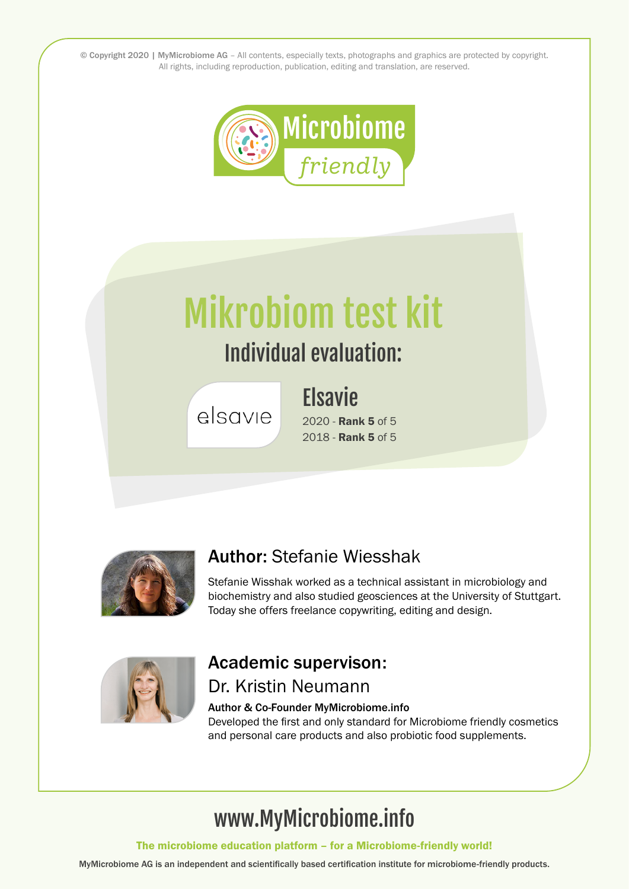© Copyright 2020 | MyMicrobiome AG – All contents, especially texts, photographs and graphics are protected by copyright. All rights, including reproduction, publication, editing and translation, are reserved.



# Mikrobiom test kit

## Individual evaluation:

## **Elsavie**

elsavie

2020 - Rank 5 of 5 2018 - Rank 5 of 5



#### Author: Stefanie Wiesshak

Stefanie Wisshak worked as a technical assistant in microbiology and biochemistry and also studied geosciences at the University of Stuttgart. Today she offers freelance copywriting, editing and design.



#### Academic supervison: Dr. Kristin Neumann

#### Author & Co-Founder MyMicrobiome.info

Developed the first and only standard for Microbiome friendly cosmetics and personal care products and also probiotic food supplements.

# www.MyMicrobiome.info

The microbiome education platform – for a Microbiome-friendly world!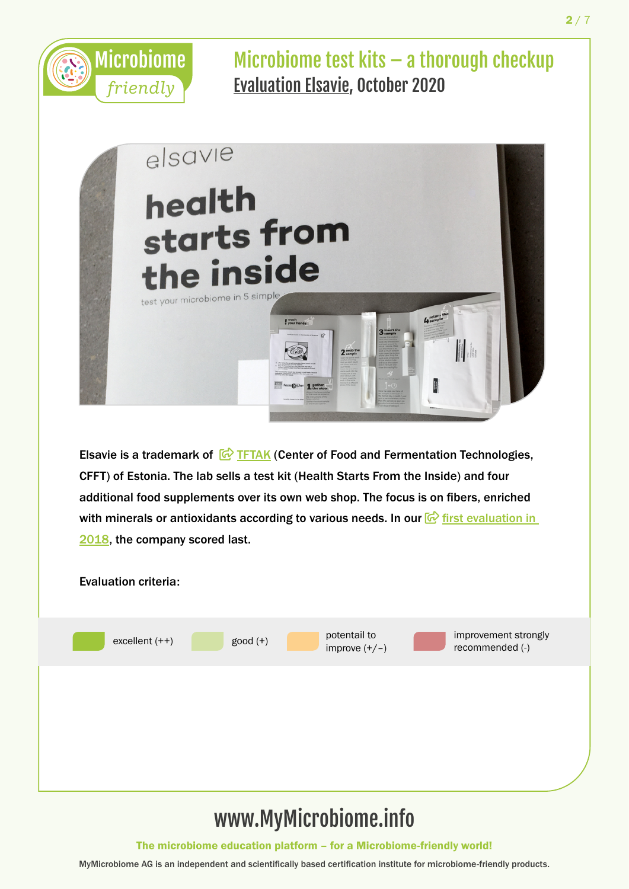



Elsavie is a trademark of  $\overline{G}$  [TFTAK](https://www.elsavie.com/) (Center of Food and Fermentation Technologies, CFFT) of Estonia. The lab sells a test kit (Health Starts From the Inside) and four additional food supplements over its own web shop. The focus is on fibers, enriched with minerals or antioxidants according to various needs. In our  $\mathbb{G}$  first evaluation in [2018](https://www.mymicrobiome.info/microbiome-test-kits.html), the company scored last.



## www.MyMicrobiome.info

The microbiome education platform – for a Microbiome-friendly world!

 $2/7$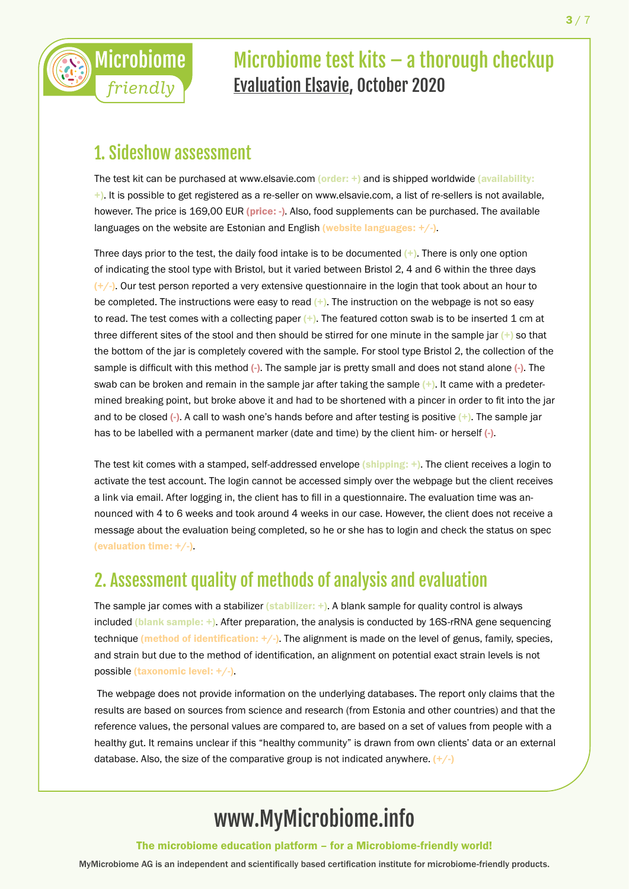

#### 1. Sideshow assessment

*friendly*

The test kit can be purchased at www.elsavie.com (order: +) and is shipped worldwide (availability: +). It is possible to get registered as a re-seller on www.elsavie.com, a list of re-sellers is not available, however. The price is 169,00 EUR (price: -). Also, food supplements can be purchased. The available languages on the website are Estonian and English (website languages:  $+/-$ ).

Three days prior to the test, the daily food intake is to be documented  $(+)$ . There is only one option of indicating the stool type with Bristol, but it varied between Bristol 2, 4 and 6 within the three days  $(+/-)$ . Our test person reported a very extensive questionnaire in the login that took about an hour to be completed. The instructions were easy to read  $(+)$ . The instruction on the webpage is not so easy to read. The test comes with a collecting paper  $(+)$ . The featured cotton swab is to be inserted 1 cm at three different sites of the stool and then should be stirred for one minute in the sample jar  $(+)$  so that the bottom of the jar is completely covered with the sample. For stool type Bristol 2, the collection of the sample is difficult with this method (-). The sample jar is pretty small and does not stand alone (-). The swab can be broken and remain in the sample jar after taking the sample (+). It came with a predetermined breaking point, but broke above it and had to be shortened with a pincer in order to fit into the jar and to be closed  $\left(-\right)$ . A call to wash one's hands before and after testing is positive  $\left(+\right)$ . The sample jar has to be labelled with a permanent marker (date and time) by the client him- or herself (-).

The test kit comes with a stamped, self-addressed envelope (shipping: +). The client receives a login to activate the test account. The login cannot be accessed simply over the webpage but the client receives a link via email. After logging in, the client has to fill in a questionnaire. The evaluation time was announced with 4 to 6 weeks and took around 4 weeks in our case. However, the client does not receive a message about the evaluation being completed, so he or she has to login and check the status on spec (evaluation time: +/-).

#### 2. Assessment quality of methods of analysis and evaluation

The sample jar comes with a stabilizer (stabilizer:  $+$ ). A blank sample for quality control is always included (blank sample: +). After preparation, the analysis is conducted by 16S-rRNA gene sequencing technique (method of identification: +/-). The alignment is made on the level of genus, family, species, and strain but due to the method of identification, an alignment on potential exact strain levels is not possible (taxonomic level: +/-).

 The webpage does not provide information on the underlying databases. The report only claims that the results are based on sources from science and research (from Estonia and other countries) and that the reference values, the personal values are compared to, are based on a set of values from people with a healthy gut. It remains unclear if this "healthy community" is drawn from own clients' data or an external database. Also, the size of the comparative group is not indicated anywhere.  $(+/-)$ 

## www.MyMicrobiome.info

The microbiome education platform – for a Microbiome-friendly world!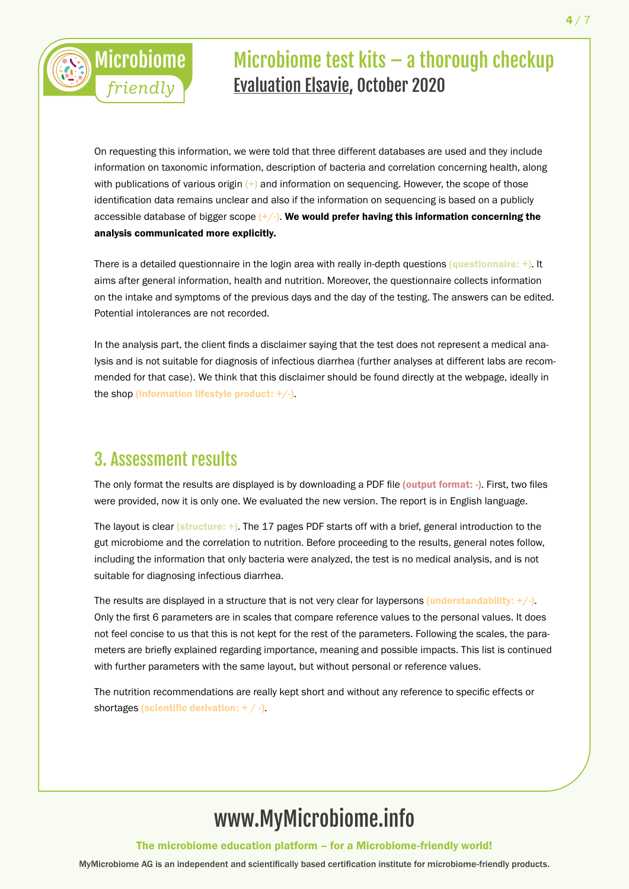

On requesting this information, we were told that three different databases are used and they include information on taxonomic information, description of bacteria and correlation concerning health, along with publications of various origin  $(+)$  and information on sequencing. However, the scope of those identification data remains unclear and also if the information on sequencing is based on a publicly accessible database of bigger scope  $(+/-)$ . We would prefer having this information concerning the analysis communicated more explicitly.

There is a detailed questionnaire in the login area with really in-depth questions (questionnaire:  $+)$ . It aims after general information, health and nutrition. Moreover, the questionnaire collects information on the intake and symptoms of the previous days and the day of the testing. The answers can be edited. Potential intolerances are not recorded.

In the analysis part, the client finds a disclaimer saying that the test does not represent a medical analysis and is not suitable for diagnosis of infectious diarrhea (further analyses at different labs are recommended for that case). We think that this disclaimer should be found directly at the webpage, ideally in the shop (information lifestyle product:  $+/-$ ).

#### 3. Assessment results

The only format the results are displayed is by downloading a PDF file (output format: -). First, two files were provided, now it is only one. We evaluated the new version. The report is in English language.

The layout is clear (structure: +). The 17 pages PDF starts off with a brief, general introduction to the gut microbiome and the correlation to nutrition. Before proceeding to the results, general notes follow, including the information that only bacteria were analyzed, the test is no medical analysis, and is not suitable for diagnosing infectious diarrhea.

The results are displayed in a structure that is not very clear for laypersons (understandability:  $+/-$ ). Only the first 6 parameters are in scales that compare reference values to the personal values. It does not feel concise to us that this is not kept for the rest of the parameters. Following the scales, the parameters are briefly explained regarding importance, meaning and possible impacts. This list is continued with further parameters with the same layout, but without personal or reference values.

The nutrition recommendations are really kept short and without any reference to specific effects or shortages (scientific derivation:  $+$  / -).

## www.MyMicrobiome.info

The microbiome education platform – for a Microbiome-friendly world!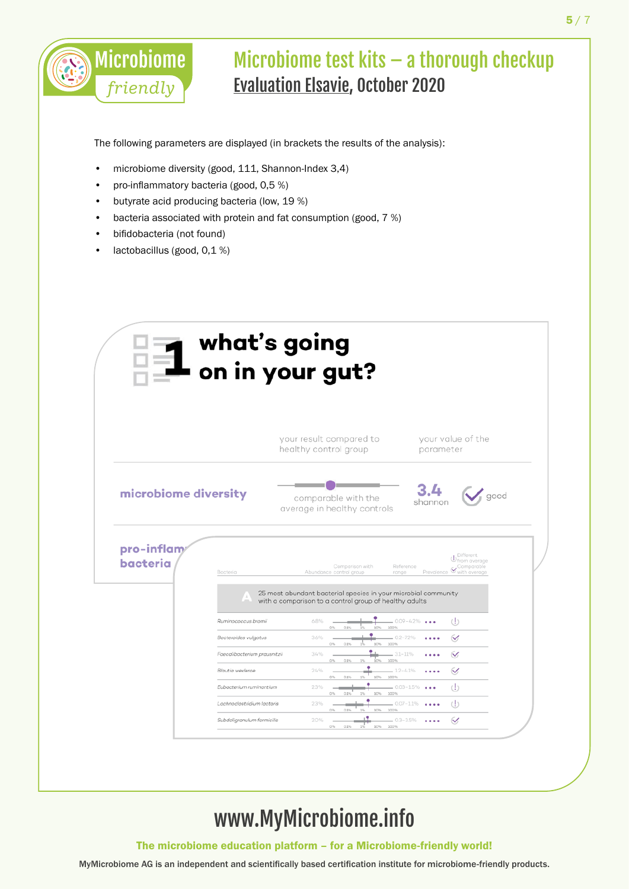

The following parameters are displayed (in brackets the results of the analysis):

- microbiome diversity (good, 111, Shannon-Index 3,4)
- pro-inflammatory bacteria (good, 0,5 %)
- butyrate acid producing bacteria (low, 19 %)
- bacteria associated with protein and fat consumption (good, 7 %)
- bifidobacteria (not found)
- lactobacillus (good, 0,1 %)

|                        | what's going                 | on in your gut?                                                                                                       |                                                                                          |
|------------------------|------------------------------|-----------------------------------------------------------------------------------------------------------------------|------------------------------------------------------------------------------------------|
|                        |                              | your result compared to<br>healthy control group                                                                      | your value of the<br>parameter                                                           |
| microbiome diversity   |                              | comparable with the<br>average in healthy controls                                                                    | good<br>shannor                                                                          |
| pro-inflam<br>bacteria | Bacteria                     | Comparison with<br>Abundance control group<br>range<br>25 most abundant bacterial species in your microbial community | $\bigcup_{\text{from average}}^{\text{Different}}$<br>Reference<br>Prevalence Comparable |
|                        | Ruminococcus bromii          | with a comparison to a control group of healthy adults<br>6.8%                                                        | $\left( \cdot \right)$<br>$0.09 - 4.2\%$                                                 |
|                        | Bacteroides vulgatus         | 100%<br>0.1%<br>10%<br>3.6%                                                                                           | $-02 - 72%$<br>✓                                                                         |
|                        | Faecalibacterium prausnitzii | 100%<br>0%<br>0.1%<br>10%<br>۰<br>3.4%                                                                                | $-3.1 - 11%$<br>$\checkmark$                                                             |
|                        | Blautia wexlerge             | 100%<br>ios.<br>0%<br>0.1%<br>2.4%<br>100%<br>0.1%<br>1%<br>10%<br>O%                                                 | $-12 - 4.1\%$<br>$\checkmark$                                                            |
|                        | Eubacterium ruminantium      | 2.3%<br>10%<br>O%                                                                                                     | $-0.03 - 1.5\%$<br>$\left( \cdot \right)$                                                |
|                        | Lachnoclostridium lactaris   | $0.1\%$<br>100%<br>$1\%$<br>2.3%<br>100%<br>10%<br>0%<br>0.1%<br>156                                                  | $\left( \cdot \right)$<br>$-0.07 - 1.1%$<br>$\cdots$                                     |
|                        |                              |                                                                                                                       |                                                                                          |

## www.MyMicrobiome.info

The microbiome education platform – for a Microbiome-friendly world!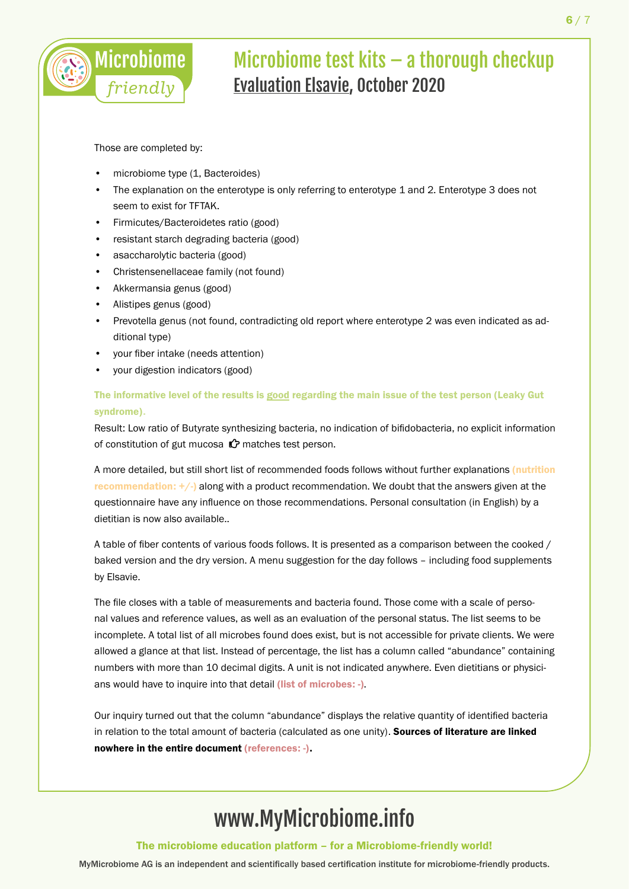

Those are completed by:

- microbiome type (1, Bacteroides)
- The explanation on the enterotype is only referring to enterotype 1 and 2. Enterotype 3 does not seem to exist for TFTAK.
- Firmicutes/Bacteroidetes ratio (good)
- resistant starch degrading bacteria (good)
- asaccharolytic bacteria (good)
- Christensenellaceae family (not found)
- Akkermansia genus (good)
- Alistipes genus (good)
- Prevotella genus (not found, contradicting old report where enterotype 2 was even indicated as additional type)
- your fiber intake (needs attention)
- your digestion indicators (good)

#### The informative level of the results is good regarding the main issue of the test person (Leaky Gut syndrome).

Result: Low ratio of Butyrate synthesizing bacteria, no indication of bifidobacteria, no explicit information of constitution of gut mucosa  $\mathcal O$  matches test person.

A more detailed, but still short list of recommended foods follows without further explanations (nutrition recommendation:  $+/-$ ) along with a product recommendation. We doubt that the answers given at the questionnaire have any influence on those recommendations. Personal consultation (in English) by a dietitian is now also available..

A table of fiber contents of various foods follows. It is presented as a comparison between the cooked / baked version and the dry version. A menu suggestion for the day follows – including food supplements by Elsavie.

The file closes with a table of measurements and bacteria found. Those come with a scale of personal values and reference values, as well as an evaluation of the personal status. The list seems to be incomplete. A total list of all microbes found does exist, but is not accessible for private clients. We were allowed a glance at that list. Instead of percentage, the list has a column called "abundance" containing numbers with more than 10 decimal digits. A unit is not indicated anywhere. Even dietitians or physicians would have to inquire into that detail (list of microbes: -).

Our inquiry turned out that the column "abundance" displays the relative quantity of identified bacteria in relation to the total amount of bacteria (calculated as one unity). Sources of literature are linked nowhere in the entire document (references: -).

## www.MyMicrobiome.info

The microbiome education platform – for a Microbiome-friendly world!